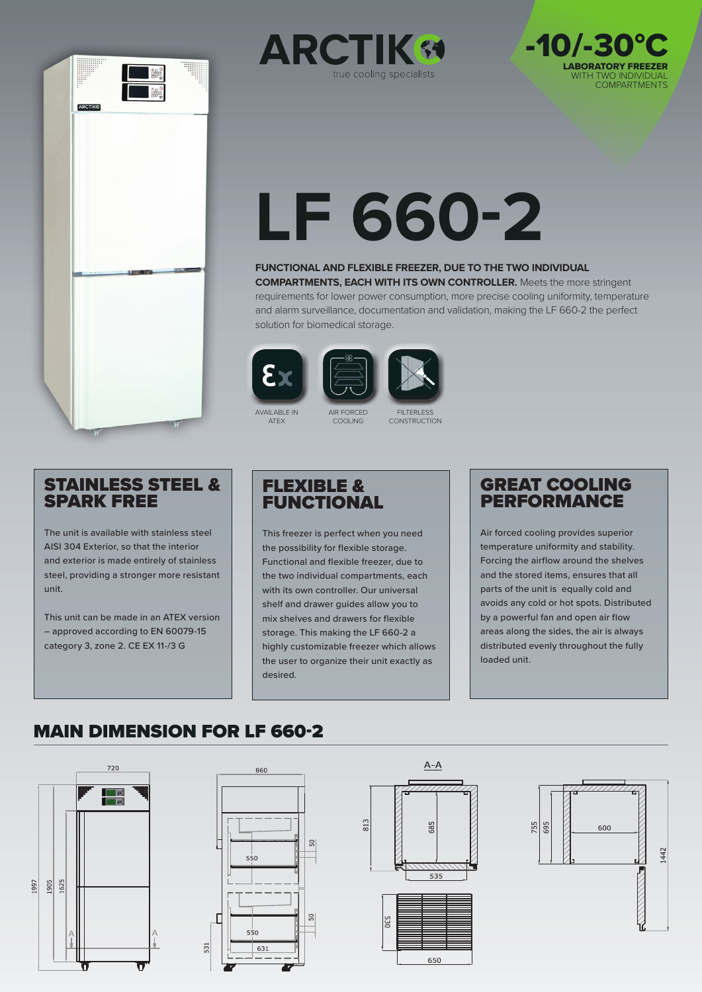





# **LF 660-2**

#### **FUNCTIONAL AND FLEXIBLE FREEZER, DUE TO THE TWO INDIVIDUAL**

**COMPARTMENTS, EACH WITH ITS OWN CONTROLLER.** Meets the more stringent requirements for lower power consumption, more precise cooling uniformity, temperature and alarm surveillance, documentation and validation, making the LF 660-2 the perfect solution for biomedical storage.





AVAILABLE IN ATEX

**FILTERLESS** CONSTRUCTION

## STAINLESS STEEL & SPARK FREE

The unit is available with stainless steel AISI 304 Exterior, so that the interior and exterior is made entirely of stainless steel, providing a stronger more resistant unit.

This unit can be made in an ATEX version – approved according to EN 60079-15 category 3, zone 2. CE EX 11-/3 G

## FLEXIBLE & **FUNCTIONAL**

AIR FORCED COOLING

This freezer is perfect when you need the possibility for flexible storage. Functional and flexible freezer, due to the two individual compartments, each with its own controller. Our universal shelf and drawer guides allow you to mix shelves and drawers for flexible storage. This making the LF 660-2 a highly customizable freezer which allows the user to organize their unit exactly as desired.

## GREAT COOLING PERFORMANCE

Air forced cooling provides superior temperature uniformity and stability. Forcing the airflow around the shelves and the stored items, ensures that all parts of the unit is equally cold and avoids any cold or hot spots. Distributed by a powerful fan and open air flow areas along the sides, the air is always distributed evenly throughout the fully loaded unit.

## MAIN DIMENSION FOR LF 660-2